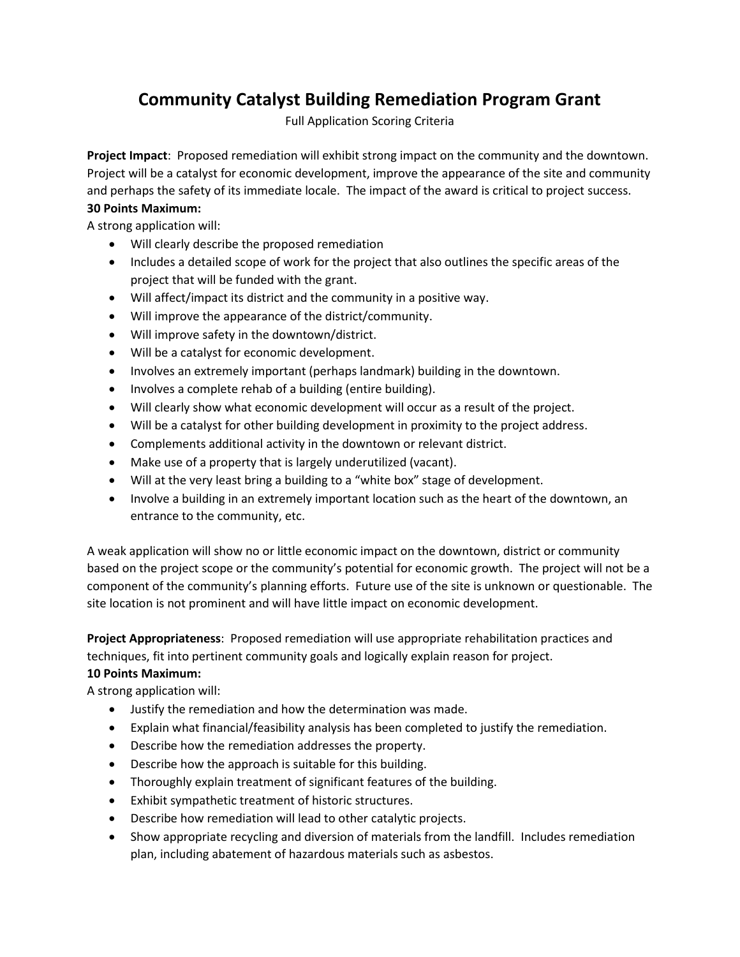## **Community Catalyst Building Remediation Program Grant**

Full Application Scoring Criteria

**Project Impact**: Proposed remediation will exhibit strong impact on the community and the downtown. Project will be a catalyst for economic development, improve the appearance of the site and community and perhaps the safety of its immediate locale. The impact of the award is critical to project success.

## **30 Points Maximum:**

A strong application will:

- Will clearly describe the proposed remediation
- Includes a detailed scope of work for the project that also outlines the specific areas of the project that will be funded with the grant.
- Will affect/impact its district and the community in a positive way.
- Will improve the appearance of the district/community.
- Will improve safety in the downtown/district.
- Will be a catalyst for economic development.
- Involves an extremely important (perhaps landmark) building in the downtown.
- Involves a complete rehab of a building (entire building).
- Will clearly show what economic development will occur as a result of the project.
- Will be a catalyst for other building development in proximity to the project address.
- Complements additional activity in the downtown or relevant district.
- Make use of a property that is largely underutilized (vacant).
- Will at the very least bring a building to a "white box" stage of development.
- Involve a building in an extremely important location such as the heart of the downtown, an entrance to the community, etc.

A weak application will show no or little economic impact on the downtown, district or community based on the project scope or the community's potential for economic growth. The project will not be a component of the community's planning efforts. Future use of the site is unknown or questionable. The site location is not prominent and will have little impact on economic development.

**Project Appropriateness**: Proposed remediation will use appropriate rehabilitation practices and techniques, fit into pertinent community goals and logically explain reason for project.

## **10 Points Maximum:**

A strong application will:

- Justify the remediation and how the determination was made.
- Explain what financial/feasibility analysis has been completed to justify the remediation.
- Describe how the remediation addresses the property.
- Describe how the approach is suitable for this building.
- Thoroughly explain treatment of significant features of the building.
- Exhibit sympathetic treatment of historic structures.
- Describe how remediation will lead to other catalytic projects.
- Show appropriate recycling and diversion of materials from the landfill. Includes remediation plan, including abatement of hazardous materials such as asbestos.